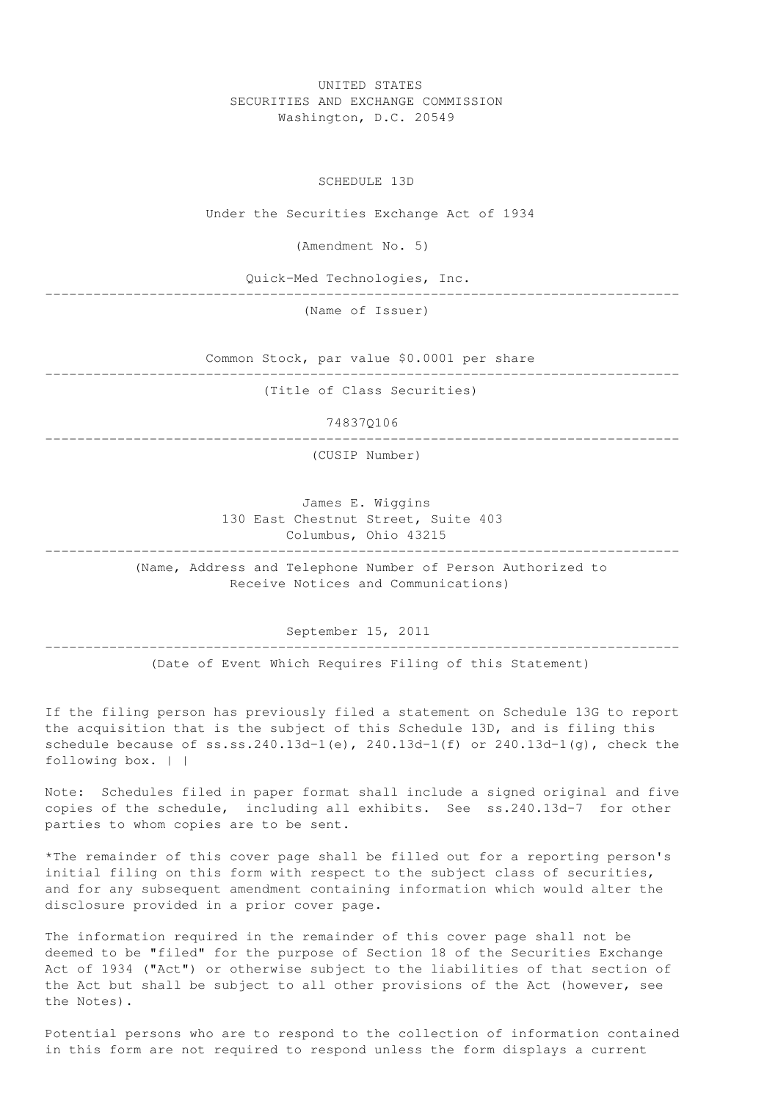UNITED STATES SECURITIES AND EXCHANGE COMMISSION Washington, D.C. 20549

SCHEDULE 13D

Under the Securities Exchange Act of 1934

(Amendment No. 5)

Quick-Med Technologies, Inc.

-------------------------------------------------------------------------------

(Name of Issuer)

Common Stock, par value \$0.0001 per share

------------------------------------------------------------------------------- (Title of Class Securities)

74837Q106

------------------------------------------------------------------------------- (CUSIP Number)

James E. Wiggins 130 East Chestnut Street, Suite 403 Columbus, Ohio 43215

(Name, Address and Telephone Number of Person Authorized to Receive Notices and Communications)

-------------------------------------------------------------------------------

September 15, 2011

-------------------------------------------------------------------------------

(Date of Event Which Requires Filing of this Statement)

If the filing person has previously filed a statement on Schedule 13G to report the acquisition that is the subject of this Schedule 13D, and is filing this schedule because of  $ss:ss.240.13d-1(e)$ ,  $240.13d-1(f)$  or  $240.13d-1(q)$ , check the following box. | |

Note: Schedules filed in paper format shall include a signed original and five copies of the schedule, including all exhibits. See ss.240.13d-7 for other parties to whom copies are to be sent.

\*The remainder of this cover page shall be filled out for a reporting person's initial filing on this form with respect to the subject class of securities, and for any subsequent amendment containing information which would alter the disclosure provided in a prior cover page.

The information required in the remainder of this cover page shall not be deemed to be "filed" for the purpose of Section 18 of the Securities Exchange Act of 1934 ("Act") or otherwise subject to the liabilities of that section of the Act but shall be subject to all other provisions of the Act (however, see the Notes).

Potential persons who are to respond to the collection of information contained in this form are not required to respond unless the form displays a current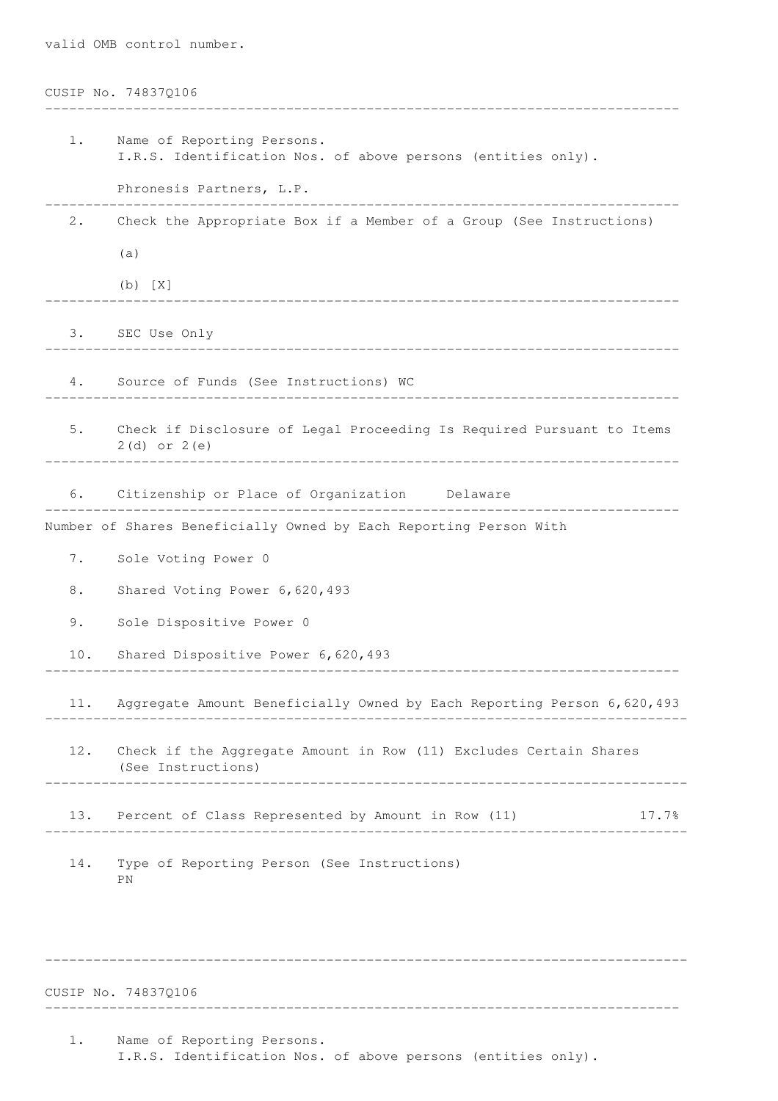|       | CUSIP No. 74837Q106                                                                          |  |  |
|-------|----------------------------------------------------------------------------------------------|--|--|
| $1$ . | Name of Reporting Persons.<br>I.R.S. Identification Nos. of above persons (entities only).   |  |  |
|       | Phronesis Partners, L.P.                                                                     |  |  |
| 2.    | Check the Appropriate Box if a Member of a Group (See Instructions)                          |  |  |
|       | (a)                                                                                          |  |  |
|       | $(b)$ $[X]$                                                                                  |  |  |
|       | 3. SEC Use Only                                                                              |  |  |
|       | 4. Source of Funds (See Instructions) WC                                                     |  |  |
|       | 5. Check if Disclosure of Legal Proceeding Is Required Pursuant to Items<br>$2(d)$ or $2(e)$ |  |  |
|       | 6. Citizenship or Place of Organization Delaware                                             |  |  |
|       | Number of Shares Beneficially Owned by Each Reporting Person With                            |  |  |
| 7.    | Sole Voting Power 0                                                                          |  |  |
| 8.    | Shared Voting Power 6, 620, 493                                                              |  |  |
| 9.    | Sole Dispositive Power 0                                                                     |  |  |
| 10.   | Shared Dispositive Power 6, 620, 493                                                         |  |  |
| 11.   | Aggregate Amount Beneficially Owned by Each Reporting Person 6,620,493                       |  |  |
| 12.   | Check if the Aggregate Amount in Row (11) Excludes Certain Shares<br>(See Instructions)      |  |  |
| 13.   | Percent of Class Represented by Amount in Row (11)<br>17.7%                                  |  |  |
| 14.   | Type of Reporting Person (See Instructions)<br>ΡN                                            |  |  |
|       |                                                                                              |  |  |

CUSIP No. 74837Q106

valid OMB control number.

1. Name of Reporting Persons. I.R.S. Identification Nos. of above persons (entities only).

--------------------------------------------------------------------------------

-------------------------------------------------------------------------------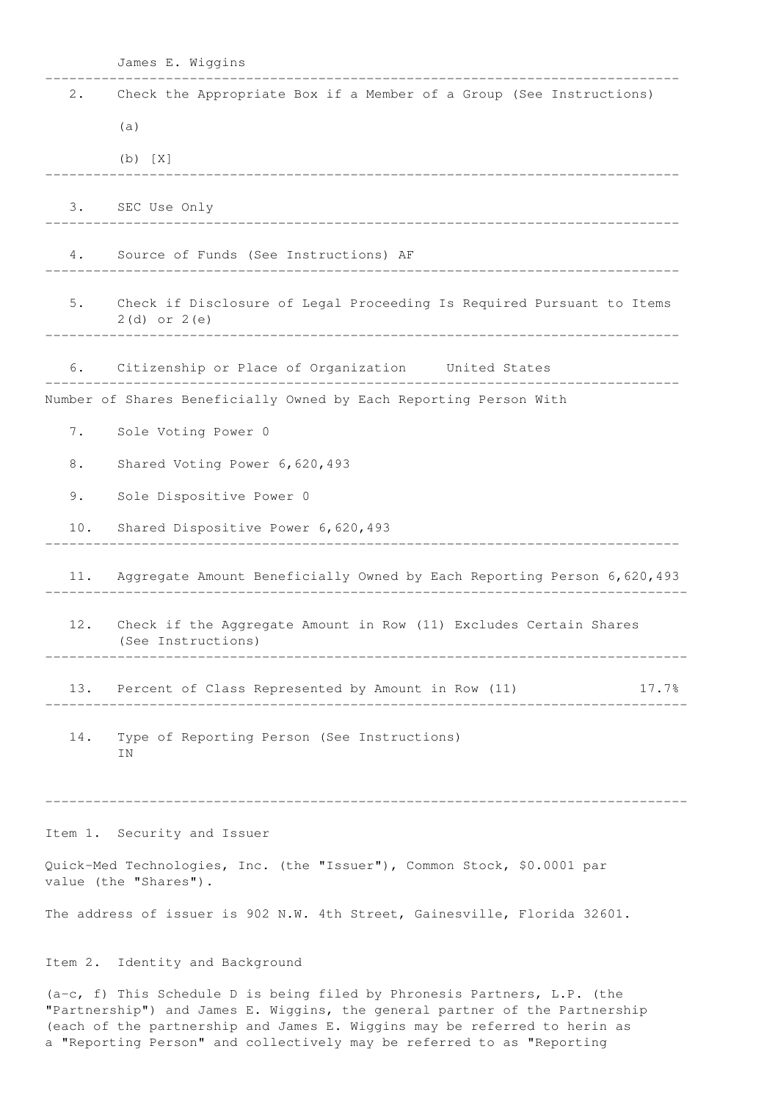|         | James E. Wiggins                                                                                                                                                                                                                       |  |  |  |
|---------|----------------------------------------------------------------------------------------------------------------------------------------------------------------------------------------------------------------------------------------|--|--|--|
| 2.      | Check the Appropriate Box if a Member of a Group (See Instructions)                                                                                                                                                                    |  |  |  |
|         | (a)                                                                                                                                                                                                                                    |  |  |  |
|         | $(b)$ $[X]$                                                                                                                                                                                                                            |  |  |  |
| 3.      | SEC Use Only                                                                                                                                                                                                                           |  |  |  |
| 4.      | Source of Funds (See Instructions) AF                                                                                                                                                                                                  |  |  |  |
| 5.      | Check if Disclosure of Legal Proceeding Is Required Pursuant to Items<br>$2(d)$ or $2(e)$                                                                                                                                              |  |  |  |
| 6.      | Citizenship or Place of Organization United States                                                                                                                                                                                     |  |  |  |
|         | Number of Shares Beneficially Owned by Each Reporting Person With                                                                                                                                                                      |  |  |  |
| 7.      | Sole Voting Power 0                                                                                                                                                                                                                    |  |  |  |
| 8.      | Shared Voting Power 6, 620, 493                                                                                                                                                                                                        |  |  |  |
| 9.      | Sole Dispositive Power 0                                                                                                                                                                                                               |  |  |  |
| 10.     | Shared Dispositive Power 6, 620, 493                                                                                                                                                                                                   |  |  |  |
| 11.     | Aggregate Amount Beneficially Owned by Each Reporting Person 6,620,493                                                                                                                                                                 |  |  |  |
| 12.     | Check if the Aggregate Amount in Row (11) Excludes Certain Shares<br>(See Instructions)<br>______________________________                                                                                                              |  |  |  |
| 13.     | Percent of Class Represented by Amount in Row (11)<br>17.7%                                                                                                                                                                            |  |  |  |
| 14.     | Type of Reporting Person (See Instructions)<br>ΙN                                                                                                                                                                                      |  |  |  |
|         |                                                                                                                                                                                                                                        |  |  |  |
|         | Item 1. Security and Issuer                                                                                                                                                                                                            |  |  |  |
|         | Quick-Med Technologies, Inc. (the "Issuer"), Common Stock, \$0.0001 par<br>value (the "Shares").                                                                                                                                       |  |  |  |
|         | The address of issuer is 902 N.W. 4th Street, Gainesville, Florida 32601.                                                                                                                                                              |  |  |  |
| Item 2. | Identity and Background                                                                                                                                                                                                                |  |  |  |
|         | $(a-c, f)$ This Schedule D is being filed by Phronesis Partners, L.P. (the<br>"Partnership") and James E. Wiggins, the general partner of the Partnership<br>(each of the partnership and James E. Wiggins may be referred to herin as |  |  |  |

a "Reporting Person" and collectively may be referred to as "Reporting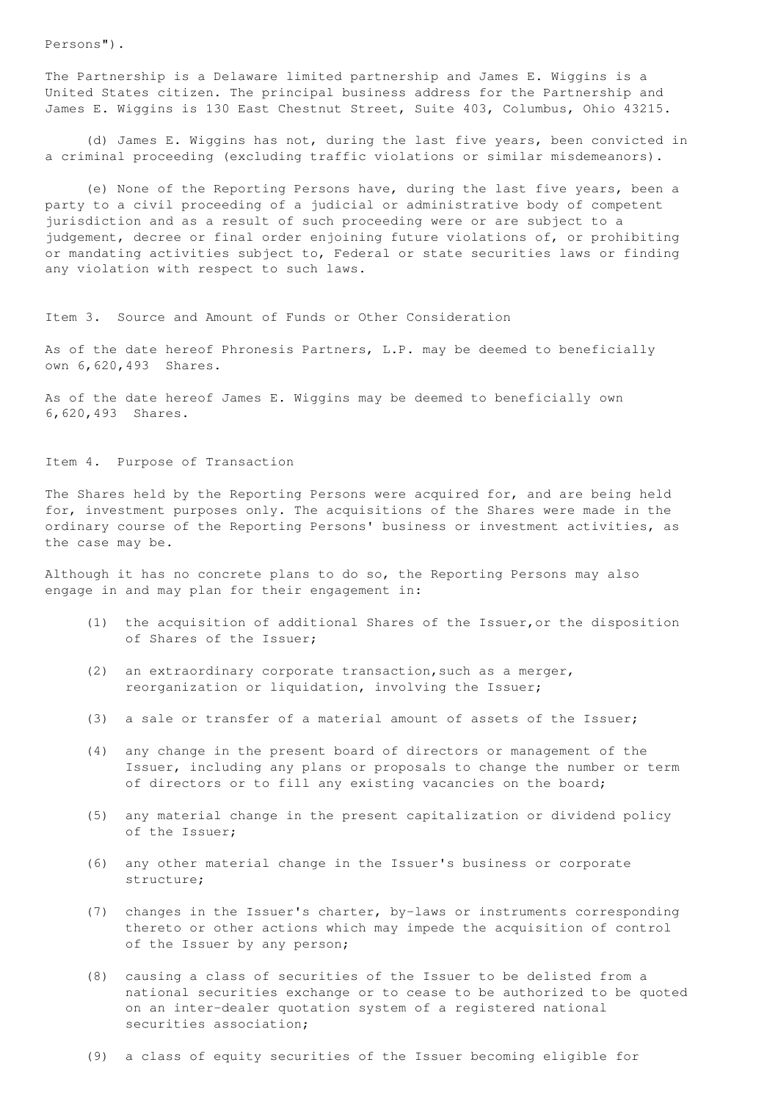Persons").

The Partnership is a Delaware limited partnership and James E. Wiggins is a United States citizen. The principal business address for the Partnership and James E. Wiggins is 130 East Chestnut Street, Suite 403, Columbus, Ohio 43215.

(d) James E. Wiggins has not, during the last five years, been convicted in a criminal proceeding (excluding traffic violations or similar misdemeanors).

(e) None of the Reporting Persons have, during the last five years, been a party to a civil proceeding of a judicial or administrative body of competent jurisdiction and as a result of such proceeding were or are subject to a judgement, decree or final order enjoining future violations of, or prohibiting or mandating activities subject to, Federal or state securities laws or finding any violation with respect to such laws.

Item 3. Source and Amount of Funds or Other Consideration

As of the date hereof Phronesis Partners, L.P. may be deemed to beneficially own 6,620,493 Shares.

As of the date hereof James E. Wiggins may be deemed to beneficially own 6,620,493 Shares.

Item 4. Purpose of Transaction

The Shares held by the Reporting Persons were acquired for, and are being held for, investment purposes only. The acquisitions of the Shares were made in the ordinary course of the Reporting Persons' business or investment activities, as the case may be.

Although it has no concrete plans to do so, the Reporting Persons may also engage in and may plan for their engagement in:

- (1) the acquisition of additional Shares of the Issuer,or the disposition of Shares of the Issuer;
- (2) an extraordinary corporate transaction,such as a merger, reorganization or liquidation, involving the Issuer;
- (3) a sale or transfer of a material amount of assets of the Issuer;
- (4) any change in the present board of directors or management of the Issuer, including any plans or proposals to change the number or term of directors or to fill any existing vacancies on the board;
- (5) any material change in the present capitalization or dividend policy of the Issuer;
- (6) any other material change in the Issuer's business or corporate structure;
- (7) changes in the Issuer's charter, by-laws or instruments corresponding thereto or other actions which may impede the acquisition of control of the Issuer by any person;
- (8) causing a class of securities of the Issuer to be delisted from a national securities exchange or to cease to be authorized to be quoted on an inter-dealer quotation system of a registered national securities association;

(9) a class of equity securities of the Issuer becoming eligible for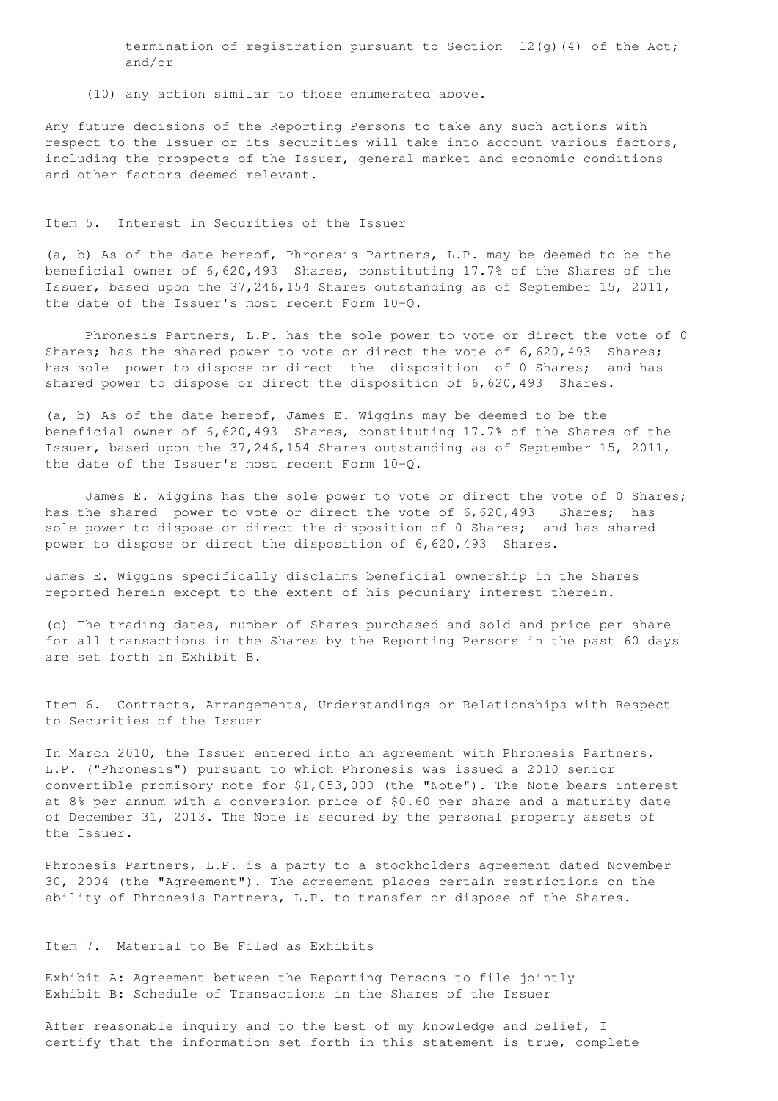termination of registration pursuant to Section  $12(q)$  (4) of the Act; and/or

(10) any action similar to those enumerated above.

Any future decisions of the Reporting Persons to take any such actions with respect to the Issuer or its securities will take into account various factors, including the prospects of the Issuer, general market and economic conditions and other factors deemed relevant.

#### Item 5. Interest in Securities of the Issuer

(a, b) As of the date hereof, Phronesis Partners, L.P. may be deemed to be the beneficial owner of 6,620,493 Shares, constituting 17.7% of the Shares of the Issuer, based upon the 37,246,154 Shares outstanding as of September 15, 2011, the date of the Issuer's most recent Form 10-Q.

Phronesis Partners, L.P. has the sole power to vote or direct the vote of 0 Shares; has the shared power to vote or direct the vote of 6,620,493 Shares; has sole power to dispose or direct the disposition of 0 Shares; and has shared power to dispose or direct the disposition of 6,620,493 Shares.

(a, b) As of the date hereof, James E. Wiggins may be deemed to be the beneficial owner of 6,620,493 Shares, constituting 17.7% of the Shares of the Issuer, based upon the 37,246,154 Shares outstanding as of September 15, 2011, the date of the Issuer's most recent Form 10-Q.

James E. Wiggins has the sole power to vote or direct the vote of 0 Shares; has the shared power to vote or direct the vote of 6,620,493 Shares; has sole power to dispose or direct the disposition of 0 Shares; and has shared power to dispose or direct the disposition of 6,620,493 Shares.

James E. Wiggins specifically disclaims beneficial ownership in the Shares reported herein except to the extent of his pecuniary interest therein.

(c) The trading dates, number of Shares purchased and sold and price per share for all transactions in the Shares by the Reporting Persons in the past 60 days are set forth in Exhibit B.

Item 6. Contracts, Arrangements, Understandings or Relationships with Respect to Securities of the Issuer

In March 2010, the Issuer entered into an agreement with Phronesis Partners, L.P. ("Phronesis") pursuant to which Phronesis was issued a 2010 senior convertible promisory note for \$1,053,000 (the "Note"). The Note bears interest at 8% per annum with a conversion price of \$0.60 per share and a maturity date of December 31, 2013. The Note is secured by the personal property assets of the Issuer.

Phronesis Partners, L.P. is a party to a stockholders agreement dated November 30, 2004 (the "Agreement"). The agreement places certain restrictions on the ability of Phronesis Partners, L.P. to transfer or dispose of the Shares.

### Item 7. Material to Be Filed as Exhibits

Exhibit A: Agreement between the Reporting Persons to file jointly Exhibit B: Schedule of Transactions in the Shares of the Issuer

After reasonable inquiry and to the best of my knowledge and belief, I certify that the information set forth in this statement is true, complete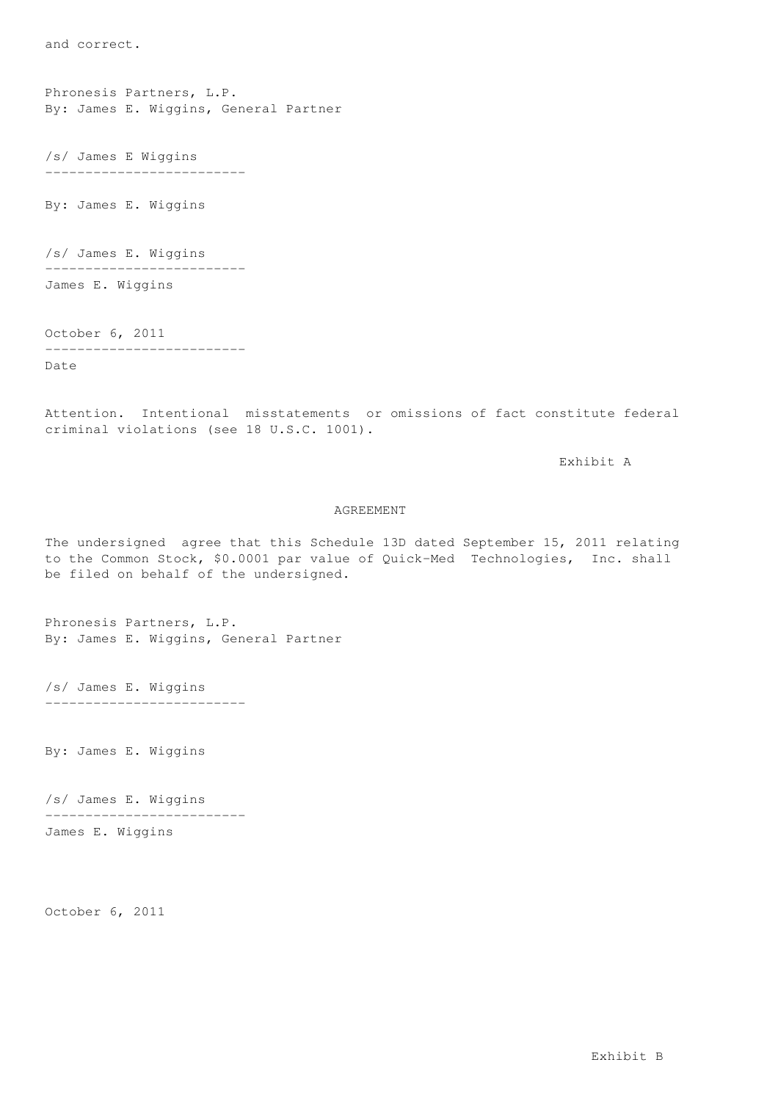and correct.

Phronesis Partners, L.P. By: James E. Wiggins, General Partner

/s/ James E Wiggins -------------------------

By: James E. Wiggins

/s/ James E. Wiggins -------------------------

James E. Wiggins

October 6, 2011 -------------------------

Date

Attention. Intentional misstatements or omissions of fact constitute federal criminal violations (see 18 U.S.C. 1001).

Exhibit A

### AGREEMENT

The undersigned agree that this Schedule 13D dated September 15, 2011 relating to the Common Stock, \$0.0001 par value of Quick-Med Technologies, Inc. shall be filed on behalf of the undersigned.

Phronesis Partners, L.P. By: James E. Wiggins, General Partner

/s/ James E. Wiggins -------------------------

By: James E. Wiggins

/s/ James E. Wiggins ------------------------- James E. Wiggins

October 6, 2011